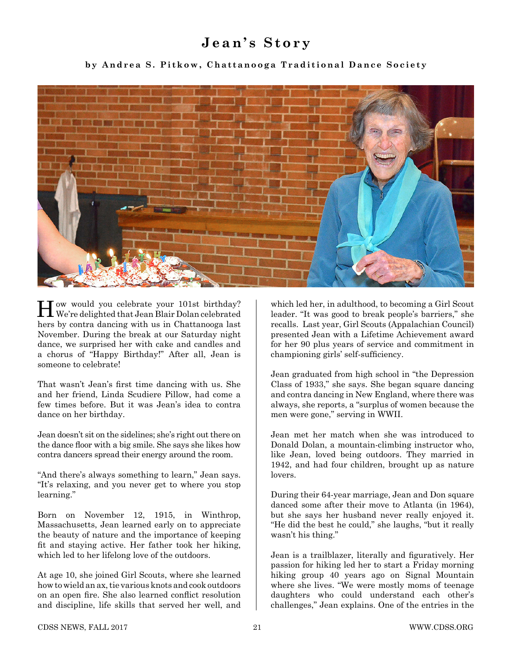#### **Jean's Story**

**by Andrea S. Pitkow, Chattanooga Traditional Dance Society**



How would you celebrate your 101st birthday? We're delighted that Jean Blair Dolan celebrated hers by contra dancing with us in Chattanooga last November. During the break at our Saturday night dance, we surprised her with cake and candles and a chorus of "Happy Birthday!" After all, Jean is someone to celebrate!

That wasn't Jean's first time dancing with us. She and her friend, Linda Scudiere Pillow, had come a few times before. But it was Jean's idea to contra dance on her birthday.

Jean doesn't sit on the sidelines; she's right out there on the dance floor with a big smile. She says she likes how contra dancers spread their energy around the room.

"And there's always something to learn," Jean says. "It's relaxing, and you never get to where you stop learning."

Born on November 12, 1915, in Winthrop, Massachusetts, Jean learned early on to appreciate the beauty of nature and the importance of keeping fit and staying active. Her father took her hiking, which led to her lifelong love of the outdoors.

At age 10, she joined Girl Scouts, where she learned how to wield an ax, tie various knots and cook outdoors on an open fire. She also learned conflict resolution and discipline, life skills that served her well, and

which led her, in adulthood, to becoming a Girl Scout leader. "It was good to break people's barriers," she recalls. Last year, Girl Scouts (Appalachian Council) presented Jean with a Lifetime Achievement award for her 90 plus years of service and commitment in championing girls' self-sufficiency.

Jean graduated from high school in "the Depression Class of 1933," she says. She began square dancing and contra dancing in New England, where there was always, she reports, a "surplus of women because the men were gone," serving in WWII.

Jean met her match when she was introduced to Donald Dolan, a mountain-climbing instructor who, like Jean, loved being outdoors. They married in 1942, and had four children, brought up as nature lovers.

During their 64-year marriage, Jean and Don square danced some after their move to Atlanta (in 1964), but she says her husband never really enjoyed it. "He did the best he could," she laughs, "but it really wasn't his thing."

Jean is a trailblazer, literally and figuratively. Her passion for hiking led her to start a Friday morning hiking group 40 years ago on Signal Mountain where she lives. "We were mostly moms of teenage daughters who could understand each other's challenges," Jean explains. One of the entries in the